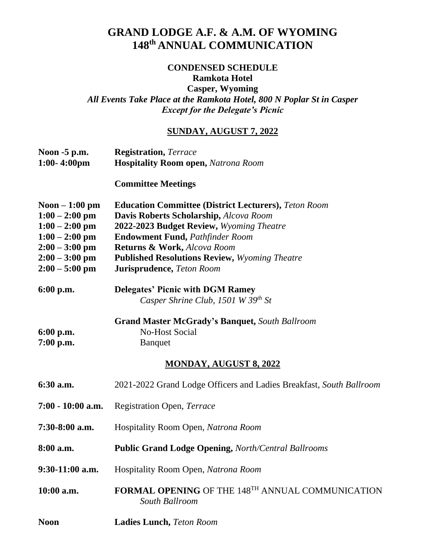## **GRAND LODGE A.F. & A.M. OF WYOMING 148 th ANNUAL COMMUNICATION**

## **CONDENSED SCHEDULE**

**Ramkota Hotel**

**Casper, Wyoming** *All Events Take Place at the Ramkota Hotel, 800 N Poplar St in Casper Except for the Delegate's Picnic*

## **SUNDAY, AUGUST 7, 2022**

| Noon -5 p.m.<br>$1:00-4:00$ pm                                                                                                          | <b>Registration</b> , Terrace<br><b>Hospitality Room open, Natrona Room</b>                                                                                                                                                                                                                                     |
|-----------------------------------------------------------------------------------------------------------------------------------------|-----------------------------------------------------------------------------------------------------------------------------------------------------------------------------------------------------------------------------------------------------------------------------------------------------------------|
|                                                                                                                                         | <b>Committee Meetings</b>                                                                                                                                                                                                                                                                                       |
| Noon $-1:00$ pm<br>$1:00 - 2:00$ pm<br>$1:00 - 2:00$ pm<br>$1:00 - 2:00$ pm<br>$2:00 - 3:00$ pm<br>$2:00 - 3:00$ pm<br>$2:00 - 5:00$ pm | <b>Education Committee (District Lecturers), Teton Room</b><br>Davis Roberts Scholarship, Alcova Room<br>2022-2023 Budget Review, Wyoming Theatre<br><b>Endowment Fund, Pathfinder Room</b><br>Returns & Work, Alcova Room<br><b>Published Resolutions Review, Wyoming Theatre</b><br>Jurisprudence, Teton Room |
| 6:00 p.m.                                                                                                                               | <b>Delegates' Picnic with DGM Ramey</b><br>Casper Shrine Club, 1501 W 39 <sup>th</sup> St                                                                                                                                                                                                                       |
| $6:00$ p.m.<br>$7:00$ p.m.                                                                                                              | <b>Grand Master McGrady's Banquet, South Ballroom</b><br><b>No-Host Social</b><br><b>Banquet</b><br><b>MONDAY, AUGUST 8, 2022</b>                                                                                                                                                                               |
| 6:30 a.m.                                                                                                                               | 2021-2022 Grand Lodge Officers and Ladies Breakfast, South Ballroom                                                                                                                                                                                                                                             |
| $7:00 - 10:00$ a.m.                                                                                                                     | Registration Open, Terrace                                                                                                                                                                                                                                                                                      |
| $7:30-8:00$ a.m.                                                                                                                        | Hospitality Room Open, Natrona Room                                                                                                                                                                                                                                                                             |
| 8:00 a.m.                                                                                                                               | Public Grand Lodge Opening, North/Central Ballrooms                                                                                                                                                                                                                                                             |
| $9:30-11:00$ a.m.                                                                                                                       | Hospitality Room Open, Natrona Room                                                                                                                                                                                                                                                                             |
| 10:00 a.m.                                                                                                                              | <b>FORMAL OPENING OF THE 148TH ANNUAL COMMUNICATION</b><br>South Ballroom                                                                                                                                                                                                                                       |
| <b>Noon</b>                                                                                                                             | Ladies Lunch, Teton Room                                                                                                                                                                                                                                                                                        |